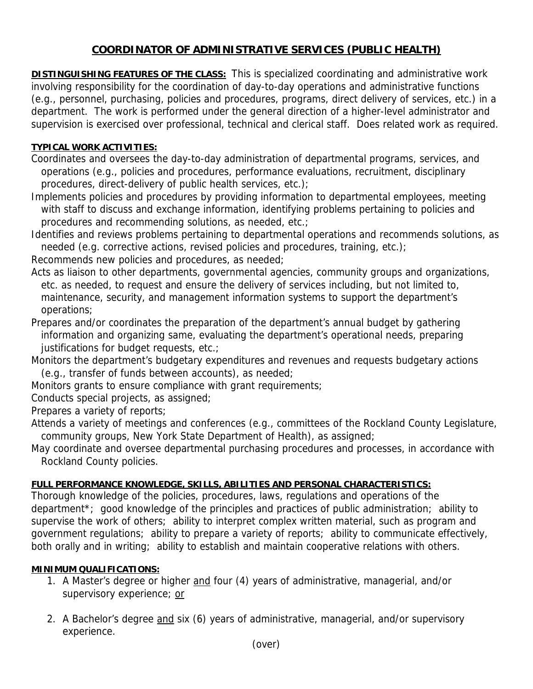## **COORDINATOR OF ADMINISTRATIVE SERVICES (PUBLIC HEALTH)**

**DISTINGUISHING FEATURES OF THE CLASS:** This is specialized coordinating and administrative work involving responsibility for the coordination of day-to-day operations and administrative functions (e.g., personnel, purchasing, policies and procedures, programs, direct delivery of services, etc.) in a department. The work is performed under the general direction of a higher-level administrator and supervision is exercised over professional, technical and clerical staff. Does related work as required.

## **TYPICAL WORK ACTIVITIES:**

Coordinates and oversees the day-to-day administration of departmental programs, services, and operations (e.g., policies and procedures, performance evaluations, recruitment, disciplinary procedures, direct-delivery of public health services, etc.);

Implements policies and procedures by providing information to departmental employees, meeting with staff to discuss and exchange information, identifying problems pertaining to policies and procedures and recommending solutions, as needed, etc.;

Identifies and reviews problems pertaining to departmental operations and recommends solutions, as needed (e.g. corrective actions, revised policies and procedures, training, etc.);

Recommends new policies and procedures, as needed;

Acts as liaison to other departments, governmental agencies, community groups and organizations, etc. as needed, to request and ensure the delivery of services including, but not limited to, maintenance, security, and management information systems to support the department's operations;

Prepares and/or coordinates the preparation of the department's annual budget by gathering information and organizing same, evaluating the department's operational needs, preparing justifications for budget requests, etc.;

Monitors the department's budgetary expenditures and revenues and requests budgetary actions (e.g., transfer of funds between accounts), as needed;

Monitors grants to ensure compliance with grant requirements;

Conducts special projects, as assigned;

Prepares a variety of reports;

Attends a variety of meetings and conferences (e.g., committees of the Rockland County Legislature, community groups, New York State Department of Health), as assigned;

May coordinate and oversee departmental purchasing procedures and processes, in accordance with Rockland County policies.

## **FULL PERFORMANCE KNOWLEDGE, SKILLS, ABILITIES AND PERSONAL CHARACTERISTICS:**

Thorough knowledge of the policies, procedures, laws, regulations and operations of the department\*; good knowledge of the principles and practices of public administration; ability to supervise the work of others; ability to interpret complex written material, such as program and government regulations; ability to prepare a variety of reports; ability to communicate effectively, both orally and in writing; ability to establish and maintain cooperative relations with others.

## **MINIMUM QUALIFICATIONS:**

- 1. A Master's degree or higher and four (4) years of administrative, managerial, and/or supervisory experience; or
- 2. A Bachelor's degree and six (6) years of administrative, managerial, and/or supervisory experience.